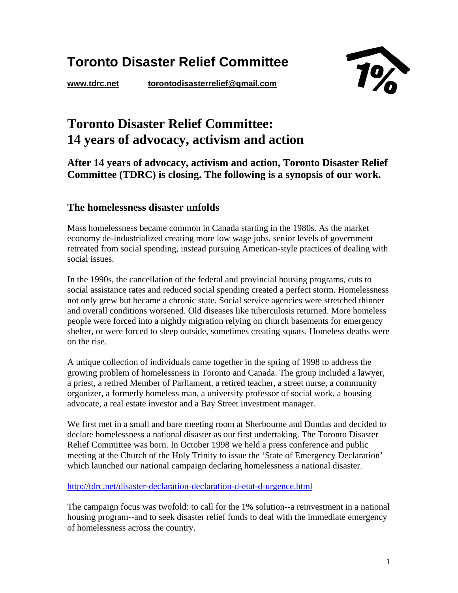# **Toronto Disaster Relief Committee**

**www.tdrc.net torontodisasterrelief@gmail.com** 



## **Toronto Disaster Relief Committee: 14 years of advocacy, activism and action**

**After 14 years of advocacy, activism and action, Toronto Disaster Relief Committee (TDRC) is closing. The following is a synopsis of our work.** 

## **The homelessness disaster unfolds**

Mass homelessness became common in Canada starting in the 1980s. As the market economy de-industrialized creating more low wage jobs, senior levels of government retreated from social spending, instead pursuing American-style practices of dealing with social issues.

In the 1990s, the cancellation of the federal and provincial housing programs, cuts to social assistance rates and reduced social spending created a perfect storm. Homelessness not only grew but became a chronic state. Social service agencies were stretched thinner and overall conditions worsened. Old diseases like tuberculosis returned. More homeless people were forced into a nightly migration relying on church basements for emergency shelter, or were forced to sleep outside, sometimes creating squats. Homeless deaths were on the rise.

A unique collection of individuals came together in the spring of 1998 to address the growing problem of homelessness in Toronto and Canada. The group included a lawyer, a priest, a retired Member of Parliament, a retired teacher, a street nurse, a community organizer, a formerly homeless man, a university professor of social work, a housing advocate, a real estate investor and a Bay Street investment manager.

We first met in a small and bare meeting room at Sherbourne and Dundas and decided to declare homelessness a national disaster as our first undertaking. The Toronto Disaster Relief Committee was born. In October 1998 we held a press conference and public meeting at the Church of the Holy Trinity to issue the 'State of Emergency Declaration' which launched our national campaign declaring homelessness a national disaster.

http://tdrc.net/disaster-declaration-declaration-d-etat-d-urgence.html

The campaign focus was twofold: to call for the 1% solution--a reinvestment in a national housing program--and to seek disaster relief funds to deal with the immediate emergency of homelessness across the country.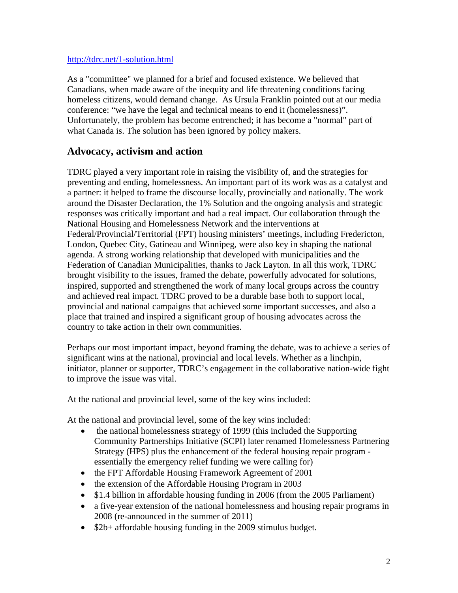#### http://tdrc.net/1-solution.html

As a "committee" we planned for a brief and focused existence. We believed that Canadians, when made aware of the inequity and life threatening conditions facing homeless citizens, would demand change. As Ursula Franklin pointed out at our media conference: "we have the legal and technical means to end it (homelessness)". Unfortunately, the problem has become entrenched; it has become a "normal" part of what Canada is. The solution has been ignored by policy makers.

## **Advocacy, activism and action**

TDRC played a very important role in raising the visibility of, and the strategies for preventing and ending, homelessness. An important part of its work was as a catalyst and a partner: it helped to frame the discourse locally, provincially and nationally. The work around the Disaster Declaration, the 1% Solution and the ongoing analysis and strategic responses was critically important and had a real impact. Our collaboration through the National Housing and Homelessness Network and the interventions at Federal/Provincial/Territorial (FPT) housing ministers' meetings, including Fredericton, London, Quebec City, Gatineau and Winnipeg, were also key in shaping the national agenda. A strong working relationship that developed with municipalities and the Federation of Canadian Municipalities, thanks to Jack Layton. In all this work, TDRC brought visibility to the issues, framed the debate, powerfully advocated for solutions, inspired, supported and strengthened the work of many local groups across the country and achieved real impact. TDRC proved to be a durable base both to support local, provincial and national campaigns that achieved some important successes, and also a place that trained and inspired a significant group of housing advocates across the country to take action in their own communities.

Perhaps our most important impact, beyond framing the debate, was to achieve a series of significant wins at the national, provincial and local levels. Whether as a linchpin, initiator, planner or supporter, TDRC's engagement in the collaborative nation-wide fight to improve the issue was vital.

At the national and provincial level, some of the key wins included:

At the national and provincial level, some of the key wins included:

- the national homelessness strategy of 1999 (this included the Supporting Community Partnerships Initiative (SCPI) later renamed Homelessness Partnering Strategy (HPS) plus the enhancement of the federal housing repair program essentially the emergency relief funding we were calling for)
- the FPT Affordable Housing Framework Agreement of 2001
- the extension of the Affordable Housing Program in 2003
- \$1.4 billion in affordable housing funding in 2006 (from the 2005 Parliament)
- a five-year extension of the national homelessness and housing repair programs in 2008 (re-announced in the summer of 2011)
- $\bullet$  \$2b+ affordable housing funding in the 2009 stimulus budget.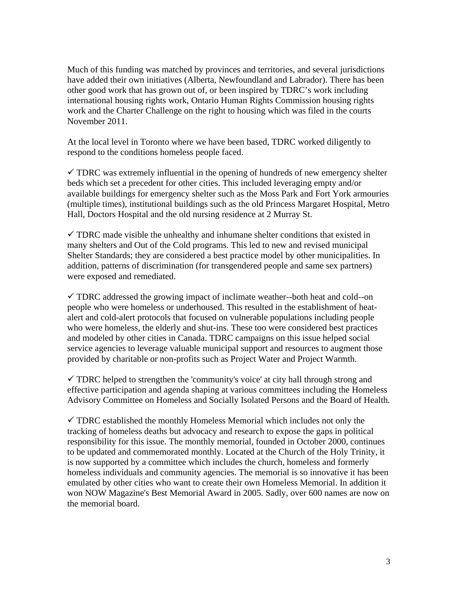Much of this funding was matched by provinces and territories, and several jurisdictions have added their own initiatives (Alberta, Newfoundland and Labrador). There has been other good work that has grown out of, or been inspired by TDRC's work including international housing rights work, Ontario Human Rights Commission housing rights work and the Charter Challenge on the right to housing which was filed in the courts November 2011.

At the local level in Toronto where we have been based, TDRC worked diligently to respond to the conditions homeless people faced.

 $\checkmark$  TDRC was extremely influential in the opening of hundreds of new emergency shelter beds which set a precedent for other cities. This included leveraging empty and/or available buildings for emergency shelter such as the Moss Park and Fort York armouries (multiple times), institutional buildings such as the old Princess Margaret Hospital, Metro Hall, Doctors Hospital and the old nursing residence at 2 Murray St.

 $\checkmark$  TDRC made visible the unhealthy and inhumane shelter conditions that existed in many shelters and Out of the Cold programs. This led to new and revised municipal Shelter Standards; they are considered a best practice model by other municipalities. In addition, patterns of discrimination (for transgendered people and same sex partners) were exposed and remediated.

 $\checkmark$  TDRC addressed the growing impact of inclimate weather--both heat and cold--on people who were homeless or underhoused. This resulted in the establishment of heatalert and cold-alert protocols that focused on vulnerable populations including people who were homeless, the elderly and shut-ins. These too were considered best practices and modeled by other cities in Canada. TDRC campaigns on this issue helped social service agencies to leverage valuable municipal support and resources to augment those provided by charitable or non-profits such as Project Water and Project Warmth.

 $\checkmark$  TDRC helped to strengthen the 'community's voice' at city hall through strong and effective participation and agenda shaping at various committees including the Homeless Advisory Committee on Homeless and Socially Isolated Persons and the Board of Health.

 $\checkmark$  TDRC established the monthly Homeless Memorial which includes not only the tracking of homeless deaths but advocacy and research to expose the gaps in political responsibility for this issue. The monthly memorial, founded in October 2000, continues to be updated and commemorated monthly. Located at the Church of the Holy Trinity, it is now supported by a committee which includes the church, homeless and formerly homeless individuals and community agencies. The memorial is so innovative it has been emulated by other cities who want to create their own Homeless Memorial. In addition it won NOW Magazine's Best Memorial Award in 2005. Sadly, over 600 names are now on the memorial board.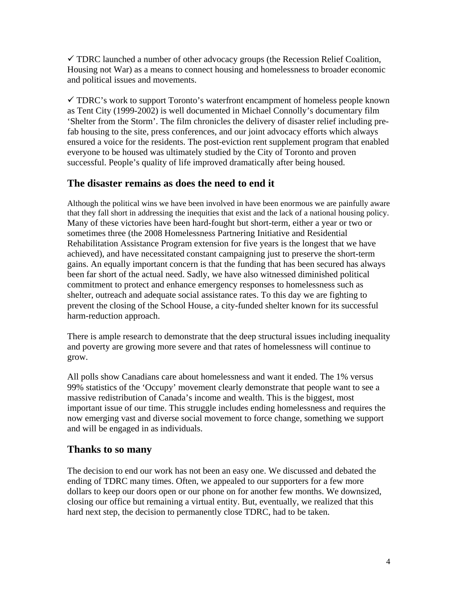$\checkmark$  TDRC launched a number of other advocacy groups (the Recession Relief Coalition, Housing not War) as a means to connect housing and homelessness to broader economic and political issues and movements.

 $\checkmark$  TDRC's work to support Toronto's waterfront encampment of homeless people known as Tent City (1999-2002) is well documented in Michael Connolly's documentary film 'Shelter from the Storm'. The film chronicles the delivery of disaster relief including prefab housing to the site, press conferences, and our joint advocacy efforts which always ensured a voice for the residents. The post-eviction rent supplement program that enabled everyone to be housed was ultimately studied by the City of Toronto and proven successful. People's quality of life improved dramatically after being housed.

## **The disaster remains as does the need to end it**

Although the political wins we have been involved in have been enormous we are painfully aware that they fall short in addressing the inequities that exist and the lack of a national housing policy. Many of these victories have been hard-fought but short-term, either a year or two or sometimes three (the 2008 Homelessness Partnering Initiative and Residential Rehabilitation Assistance Program extension for five years is the longest that we have achieved), and have necessitated constant campaigning just to preserve the short-term gains. An equally important concern is that the funding that has been secured has always been far short of the actual need. Sadly, we have also witnessed diminished political commitment to protect and enhance emergency responses to homelessness such as shelter, outreach and adequate social assistance rates. To this day we are fighting to prevent the closing of the School House, a city-funded shelter known for its successful harm-reduction approach.

There is ample research to demonstrate that the deep structural issues including inequality and poverty are growing more severe and that rates of homelessness will continue to grow.

All polls show Canadians care about homelessness and want it ended. The 1% versus 99% statistics of the 'Occupy' movement clearly demonstrate that people want to see a massive redistribution of Canada's income and wealth. This is the biggest, most important issue of our time. This struggle includes ending homelessness and requires the now emerging vast and diverse social movement to force change, something we support and will be engaged in as individuals.

## **Thanks to so many**

The decision to end our work has not been an easy one. We discussed and debated the ending of TDRC many times. Often, we appealed to our supporters for a few more dollars to keep our doors open or our phone on for another few months. We downsized, closing our office but remaining a virtual entity. But, eventually, we realized that this hard next step, the decision to permanently close TDRC, had to be taken.